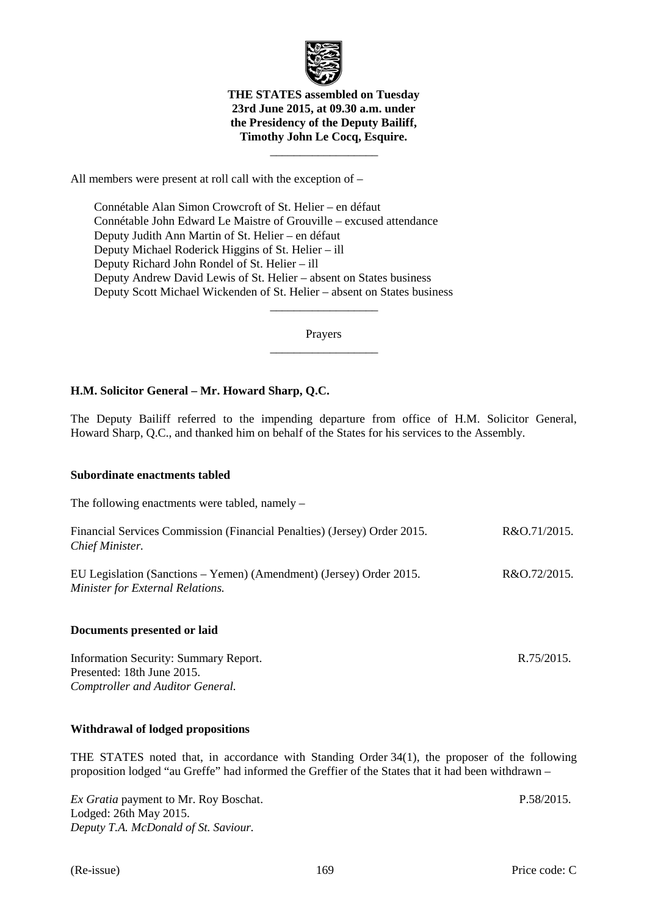

### **THE STATES assembled on Tuesday 23rd June 2015, at 09.30 a.m. under the Presidency of the Deputy Bailiff, Timothy John Le Cocq, Esquire.**

 $\frac{1}{\sqrt{2\pi}}\left[\frac{1}{\sqrt{2\pi}}\frac{1}{\sqrt{2\pi}}\frac{1}{\sqrt{2\pi}}\frac{1}{\sqrt{2\pi}}\frac{1}{\sqrt{2\pi}}\frac{1}{\sqrt{2\pi}}\frac{1}{\sqrt{2\pi}}\frac{1}{\sqrt{2\pi}}\frac{1}{\sqrt{2\pi}}\frac{1}{\sqrt{2\pi}}\frac{1}{\sqrt{2\pi}}\frac{1}{\sqrt{2\pi}}\frac{1}{\sqrt{2\pi}}\frac{1}{\sqrt{2\pi}}\frac{1}{\sqrt{2\pi}}\frac{1}{\sqrt{2\pi}}\frac{1}{\sqrt{2\pi}}\frac$ 

All members were present at roll call with the exception of –

 Connétable Alan Simon Crowcroft of St. Helier – en défaut Connétable John Edward Le Maistre of Grouville – excused attendance Deputy Judith Ann Martin of St. Helier – en défaut Deputy Michael Roderick Higgins of St. Helier – ill Deputy Richard John Rondel of St. Helier – ill Deputy Andrew David Lewis of St. Helier – absent on States business Deputy Scott Michael Wickenden of St. Helier – absent on States business

> Prayers  $\frac{1}{\sqrt{2\pi}}\left[\frac{1}{\sqrt{2\pi}}\frac{1}{\sqrt{2\pi}}\frac{1}{\sqrt{2\pi}}\frac{1}{\sqrt{2\pi}}\frac{1}{\sqrt{2\pi}}\frac{1}{\sqrt{2\pi}}\frac{1}{\sqrt{2\pi}}\frac{1}{\sqrt{2\pi}}\frac{1}{\sqrt{2\pi}}\frac{1}{\sqrt{2\pi}}\frac{1}{\sqrt{2\pi}}\frac{1}{\sqrt{2\pi}}\frac{1}{\sqrt{2\pi}}\frac{1}{\sqrt{2\pi}}\frac{1}{\sqrt{2\pi}}\frac{1}{\sqrt{2\pi}}\frac{1}{\sqrt{2\pi}}\frac$

> $\frac{1}{\sqrt{2\pi}}\left[\frac{1}{\sqrt{2\pi}}\frac{1}{\sqrt{2\pi}}\frac{1}{\sqrt{2\pi}}\frac{1}{\sqrt{2\pi}}\frac{1}{\sqrt{2\pi}}\frac{1}{\sqrt{2\pi}}\frac{1}{\sqrt{2\pi}}\frac{1}{\sqrt{2\pi}}\frac{1}{\sqrt{2\pi}}\frac{1}{\sqrt{2\pi}}\frac{1}{\sqrt{2\pi}}\frac{1}{\sqrt{2\pi}}\frac{1}{\sqrt{2\pi}}\frac{1}{\sqrt{2\pi}}\frac{1}{\sqrt{2\pi}}\frac{1}{\sqrt{2\pi}}\frac{1}{\sqrt{2\pi}}\frac$

# **H.M. Solicitor General – Mr. Howard Sharp, Q.C.**

The Deputy Bailiff referred to the impending departure from office of H.M. Solicitor General, Howard Sharp, Q.C., and thanked him on behalf of the States for his services to the Assembly.

### **Subordinate enactments tabled**

The following enactments were tabled, namely –

| Financial Services Commission (Financial Penalties) (Jersey) Order 2015.<br>Chief Minister.             | R&O.71/2015. |
|---------------------------------------------------------------------------------------------------------|--------------|
| EU Legislation (Sanctions – Yemen) (Amendment) (Jersey) Order 2015.<br>Minister for External Relations. | R&O.72/2015. |

### **Documents presented or laid**

Information Security: Summary Report. Presented: 18th June 2015. *Comptroller and Auditor General.*

### **Withdrawal of lodged propositions**

THE STATES noted that, in accordance with Standing Order 34(1), the proposer of the following proposition lodged "au Greffe" had informed the Greffier of the States that it had been withdrawn –

*Ex Gratia* payment to Mr. Roy Boschat. Lodged: 26th May 2015. *Deputy T.A. McDonald of St. Saviour.*

P.58/2015.

R.75/2015.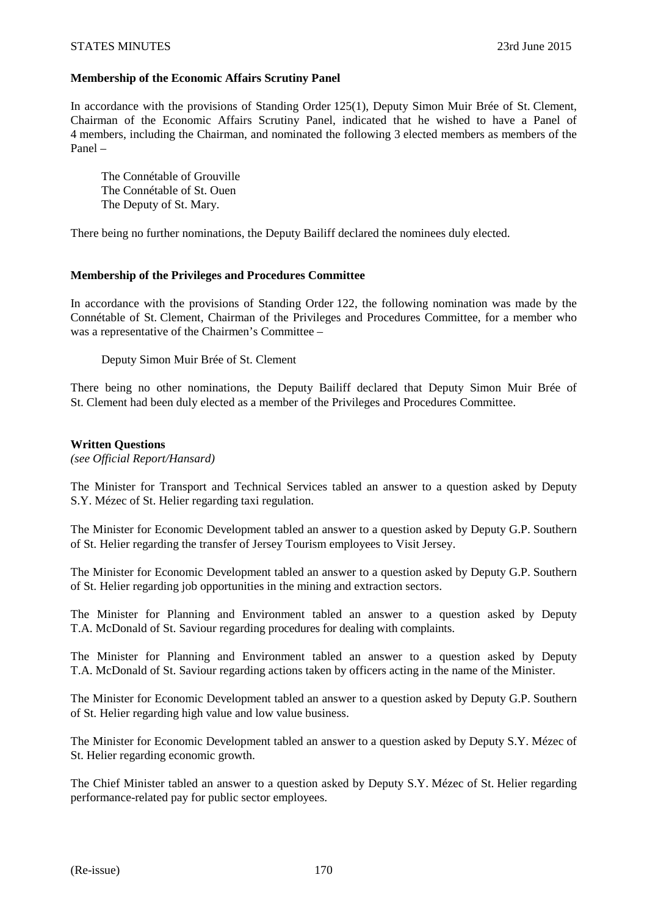## **Membership of the Economic Affairs Scrutiny Panel**

In accordance with the provisions of Standing Order 125(1), Deputy Simon Muir Brée of St. Clement, Chairman of the Economic Affairs Scrutiny Panel, indicated that he wished to have a Panel of 4 members, including the Chairman, and nominated the following 3 elected members as members of the Panel –

 The Connétable of Grouville The Connétable of St. Ouen The Deputy of St. Mary.

There being no further nominations, the Deputy Bailiff declared the nominees duly elected.

### **Membership of the Privileges and Procedures Committee**

In accordance with the provisions of Standing Order 122, the following nomination was made by the Connétable of St. Clement, Chairman of the Privileges and Procedures Committee, for a member who was a representative of the Chairmen's Committee –

Deputy Simon Muir Brée of St. Clement

There being no other nominations, the Deputy Bailiff declared that Deputy Simon Muir Brée of St. Clement had been duly elected as a member of the Privileges and Procedures Committee.

### **Written Questions**

*(see Official Report/Hansard)* 

The Minister for Transport and Technical Services tabled an answer to a question asked by Deputy S.Y. Mézec of St. Helier regarding taxi regulation.

The Minister for Economic Development tabled an answer to a question asked by Deputy G.P. Southern of St. Helier regarding the transfer of Jersey Tourism employees to Visit Jersey.

The Minister for Economic Development tabled an answer to a question asked by Deputy G.P. Southern of St. Helier regarding job opportunities in the mining and extraction sectors.

The Minister for Planning and Environment tabled an answer to a question asked by Deputy T.A. McDonald of St. Saviour regarding procedures for dealing with complaints.

The Minister for Planning and Environment tabled an answer to a question asked by Deputy T.A. McDonald of St. Saviour regarding actions taken by officers acting in the name of the Minister.

The Minister for Economic Development tabled an answer to a question asked by Deputy G.P. Southern of St. Helier regarding high value and low value business.

The Minister for Economic Development tabled an answer to a question asked by Deputy S.Y. Mézec of St. Helier regarding economic growth.

The Chief Minister tabled an answer to a question asked by Deputy S.Y. Mézec of St. Helier regarding performance-related pay for public sector employees.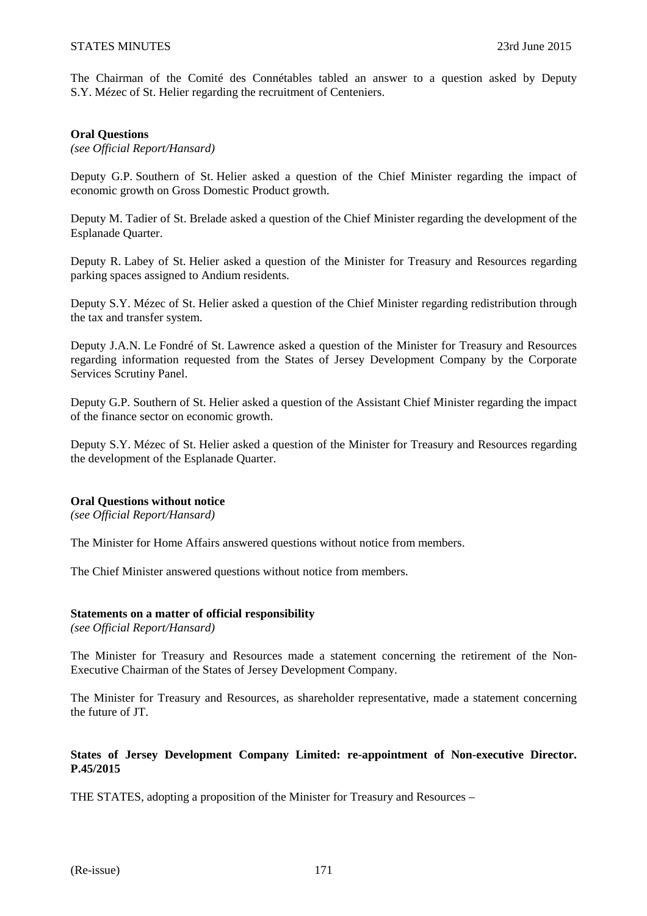The Chairman of the Comité des Connétables tabled an answer to a question asked by Deputy S.Y. Mézec of St. Helier regarding the recruitment of Centeniers.

### **Oral Questions**

*(see Official Report/Hansard)* 

Deputy G.P. Southern of St. Helier asked a question of the Chief Minister regarding the impact of economic growth on Gross Domestic Product growth.

Deputy M. Tadier of St. Brelade asked a question of the Chief Minister regarding the development of the Esplanade Quarter.

Deputy R. Labey of St. Helier asked a question of the Minister for Treasury and Resources regarding parking spaces assigned to Andium residents.

Deputy S.Y. Mézec of St. Helier asked a question of the Chief Minister regarding redistribution through the tax and transfer system.

Deputy J.A.N. Le Fondré of St. Lawrence asked a question of the Minister for Treasury and Resources regarding information requested from the States of Jersey Development Company by the Corporate Services Scrutiny Panel.

Deputy G.P. Southern of St. Helier asked a question of the Assistant Chief Minister regarding the impact of the finance sector on economic growth.

Deputy S.Y. Mézec of St. Helier asked a question of the Minister for Treasury and Resources regarding the development of the Esplanade Quarter.

### **Oral Questions without notice**

*(see Official Report/Hansard)* 

The Minister for Home Affairs answered questions without notice from members.

The Chief Minister answered questions without notice from members.

### **Statements on a matter of official responsibility**

*(see Official Report/Hansard)* 

The Minister for Treasury and Resources made a statement concerning the retirement of the Non-Executive Chairman of the States of Jersey Development Company.

The Minister for Treasury and Resources, as shareholder representative, made a statement concerning the future of JT.

### **States of Jersey Development Company Limited: re-appointment of Non-executive Director. P.45/2015**

THE STATES, adopting a proposition of the Minister for Treasury and Resources –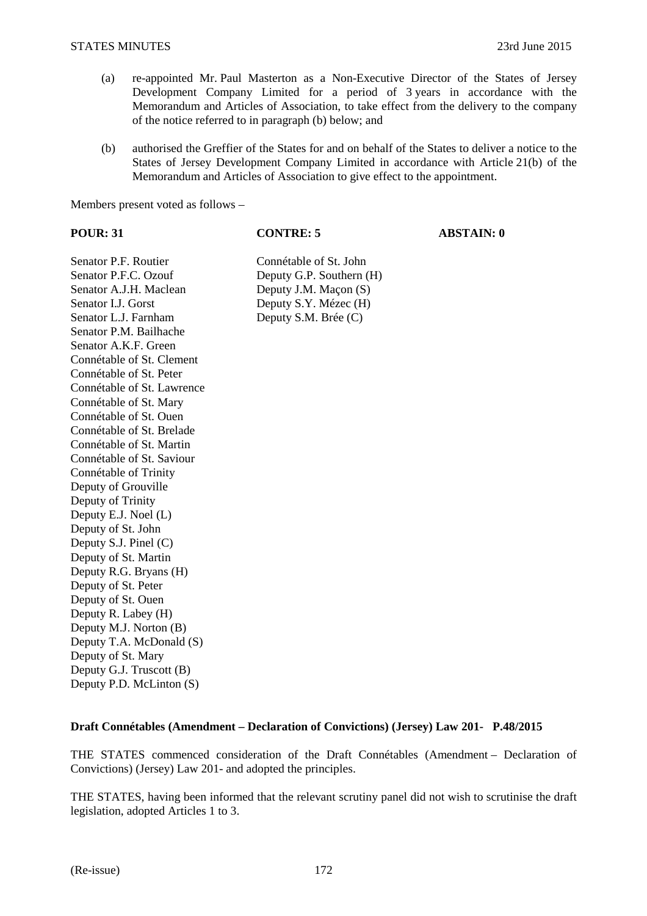- (a) re-appointed Mr. Paul Masterton as a Non-Executive Director of the States of Jersey Development Company Limited for a period of 3 years in accordance with the Memorandum and Articles of Association, to take effect from the delivery to the company of the notice referred to in paragraph (b) below; and
- (b) authorised the Greffier of the States for and on behalf of the States to deliver a notice to the States of Jersey Development Company Limited in accordance with Article 21(b) of the Memorandum and Articles of Association to give effect to the appointment.

Members present voted as follows –

**POUR: 31 CONTRE: 5 ABSTAIN: 0** 

Senator P.F. Routier Connétable of St. John Senator P.F.C. Ozouf Deputy G.P. Southern (H) Senator A.J.H. Maclean Deputy J.M. Maçon (S) Senator I.J. Gorst<br>
Senator L.J. Farnham<br>
Deputy S.M. Brée (C) Senator P.M. Bailhache Senator A.K.F. Green. Connétable of St. Clement Connétable of St. Peter Connétable of St. Lawrence Connétable of St. Mary Connétable of St. Ouen Connétable of St. Brelade Connétable of St. Martin Connétable of St. Saviour Connétable of Trinity Deputy of Grouville Deputy of Trinity Deputy E.J. Noel (L) Deputy of St. John Deputy S.J. Pinel (C) Deputy of St. Martin Deputy R.G. Bryans (H) Deputy of St. Peter Deputy of St. Ouen Deputy R. Labey (H) Deputy M.J. Norton (B) Deputy T.A. McDonald (S) Deputy of St. Mary Deputy G.J. Truscott (B) Deputy P.D. McLinton (S)

# Deputy S.M. Brée (C)

### **Draft Connétables (Amendment – Declaration of Convictions) (Jersey) Law 201- P.48/2015**

THE STATES commenced consideration of the Draft Connétables (Amendment – Declaration of Convictions) (Jersey) Law 201- and adopted the principles.

THE STATES, having been informed that the relevant scrutiny panel did not wish to scrutinise the draft legislation, adopted Articles 1 to 3.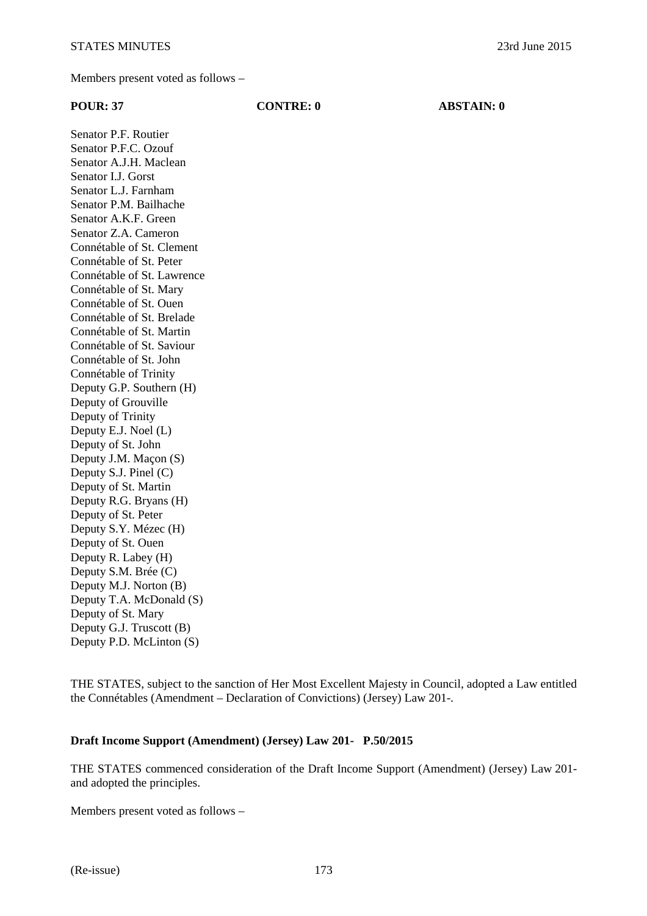Members present voted as follows –

| <b>POUR: 37</b>            | <b>CONTRE: 0</b> | <b>ABSTAIN: 0</b> |
|----------------------------|------------------|-------------------|
| Senator P.F. Routier       |                  |                   |
| Senator P.F.C. Ozouf       |                  |                   |
| Senator A.J.H. Maclean     |                  |                   |
| Senator I.J. Gorst         |                  |                   |
| Senator L.J. Farnham       |                  |                   |
| Senator P.M. Bailhache     |                  |                   |
| Senator A.K.F. Green       |                  |                   |
| Senator Z.A. Cameron       |                  |                   |
| Connétable of St. Clement  |                  |                   |
| Connétable of St. Peter    |                  |                   |
| Connétable of St. Lawrence |                  |                   |
| Connétable of St. Mary     |                  |                   |
| Connétable of St. Ouen     |                  |                   |
| Connétable of St. Brelade  |                  |                   |
| Connétable of St. Martin   |                  |                   |
| Connétable of St. Saviour  |                  |                   |
| Connétable of St. John     |                  |                   |
| Connétable of Trinity      |                  |                   |
| Deputy G.P. Southern (H)   |                  |                   |
| Deputy of Grouville        |                  |                   |
| Deputy of Trinity          |                  |                   |
| Deputy E.J. Noel (L)       |                  |                   |
| Deputy of St. John         |                  |                   |
| Deputy J.M. Maçon (S)      |                  |                   |
| Deputy S.J. Pinel (C)      |                  |                   |
| Deputy of St. Martin       |                  |                   |
| Deputy R.G. Bryans (H)     |                  |                   |
| Deputy of St. Peter        |                  |                   |
| Deputy S.Y. Mézec (H)      |                  |                   |
| Deputy of St. Ouen         |                  |                   |
| Deputy R. Labey (H)        |                  |                   |
| Deputy S.M. Brée (C)       |                  |                   |
| Deputy M.J. Norton (B)     |                  |                   |
| Deputy T.A. McDonald (S)   |                  |                   |
| Deputy of St. Mary         |                  |                   |
| Deputy G.J. Truscott (B)   |                  |                   |
| Deputy P.D. McLinton (S)   |                  |                   |

THE STATES, subject to the sanction of Her Most Excellent Majesty in Council, adopted a Law entitled the Connétables (Amendment – Declaration of Convictions) (Jersey) Law 201-.

### **Draft Income Support (Amendment) (Jersey) Law 201- P.50/2015**

THE STATES commenced consideration of the Draft Income Support (Amendment) (Jersey) Law 201 and adopted the principles.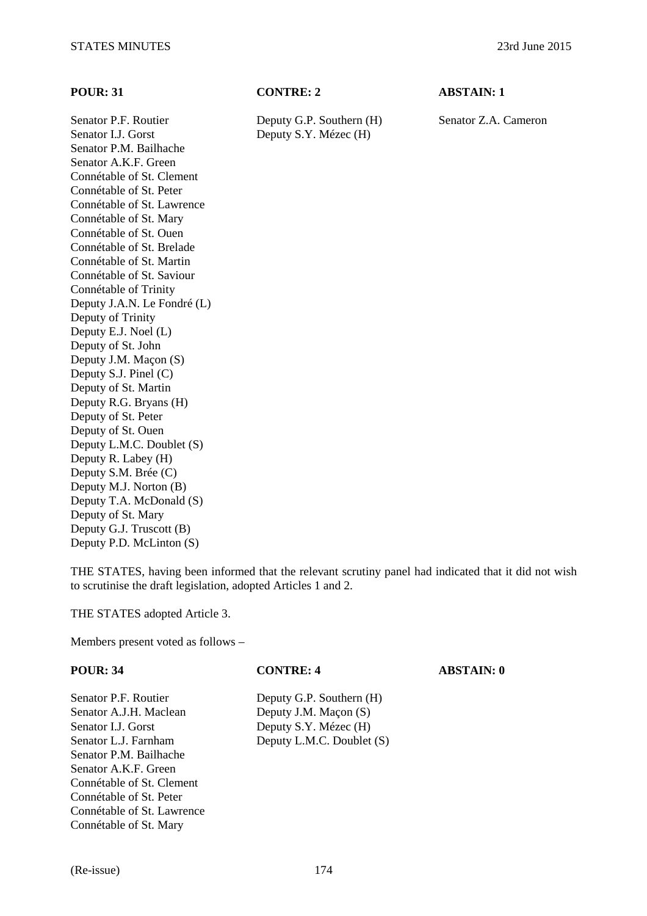Senator I.J. Gorst Deputy S.Y. Mézec (H) Senator P.M. Bailhache Senator A.K.F. Green Connétable of St. Clement Connétable of St. Peter Connétable of St. Lawrence Connétable of St. Mary Connétable of St. Ouen Connétable of St. Brelade Connétable of St. Martin Connétable of St. Saviour Connétable of Trinity Deputy J.A.N. Le Fondré (L) Deputy of Trinity Deputy E.J. Noel (L) Deputy of St. John Deputy J.M. Maçon (S) Deputy S.J. Pinel (C) Deputy of St. Martin Deputy R.G. Bryans (H) Deputy of St. Peter Deputy of St. Ouen Deputy L.M.C. Doublet (S) Deputy R. Labey (H) Deputy S.M. Brée (C) Deputy M.J. Norton (B) Deputy T.A. McDonald (S) Deputy of St. Mary Deputy G.J. Truscott (B) Deputy P.D. McLinton (S)

### **POUR: 31 CONTRE: 2 ABSTAIN: 1**

Senator P.F. Routier Deputy G.P. Southern (H) Senator Z.A. Cameron

THE STATES, having been informed that the relevant scrutiny panel had indicated that it did not wish to scrutinise the draft legislation, adopted Articles 1 and 2.

THE STATES adopted Article 3.

Connétable of St. Lawrence Connétable of St. Mary

| <b>POUR: 34</b>           | <b>CONTRE: 4</b>          | <b>ABSTAIN: 0</b> |
|---------------------------|---------------------------|-------------------|
| Senator P.F. Routier      | Deputy G.P. Southern (H)  |                   |
| Senator A.J.H. Maclean    | Deputy J.M. Maçon (S)     |                   |
| Senator I.J. Gorst        | Deputy S.Y. Mézec (H)     |                   |
| Senator L.J. Farnham      | Deputy L.M.C. Doublet (S) |                   |
| Senator P.M. Bailhache    |                           |                   |
| Senator A.K.F. Green      |                           |                   |
| Connétable of St. Clement |                           |                   |
| Connétable of St. Peter   |                           |                   |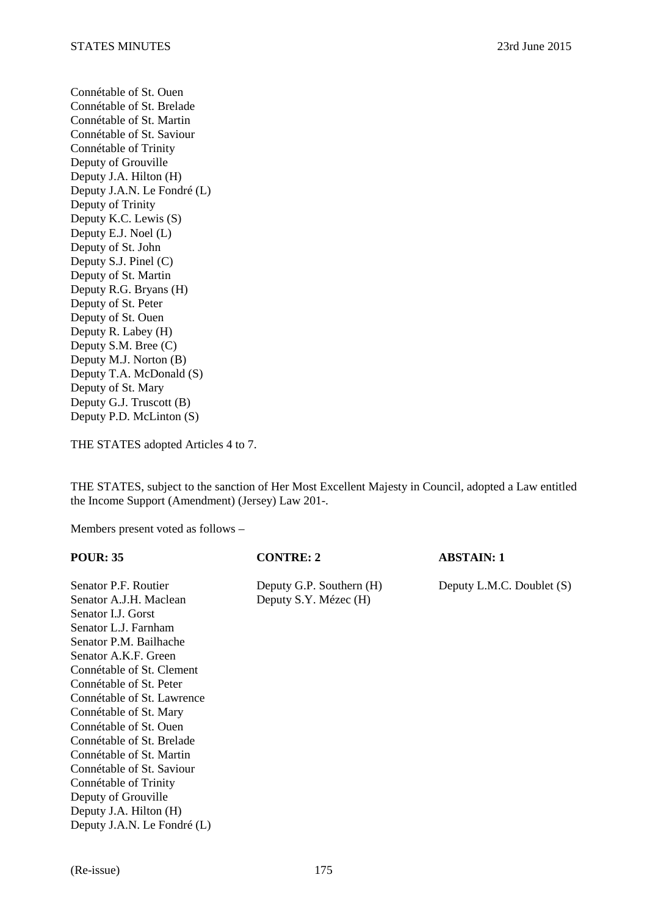Connétable of St. Ouen Connétable of St. Brelade Connétable of St. Martin Connétable of St. Saviour Connétable of Trinity Deputy of Grouville Deputy J.A. Hilton (H) Deputy J.A.N. Le Fondré (L) Deputy of Trinity Deputy K.C. Lewis (S) Deputy E.J. Noel (L) Deputy of St. John Deputy S.J. Pinel (C) Deputy of St. Martin Deputy R.G. Bryans (H) Deputy of St. Peter Deputy of St. Ouen Deputy R. Labey (H) Deputy S.M. Bree (C) Deputy M.J. Norton (B) Deputy T.A. McDonald (S) Deputy of St. Mary Deputy G.J. Truscott (B) Deputy P.D. McLinton (S)

THE STATES adopted Articles 4 to 7.

THE STATES, subject to the sanction of Her Most Excellent Majesty in Council, adopted a Law entitled the Income Support (Amendment) (Jersey) Law 201-.

| <b>POUR: 35</b>             | <b>CONTRE: 2</b>         | <b>ABSTAIN: 1</b>         |
|-----------------------------|--------------------------|---------------------------|
| Senator P.F. Routier        | Deputy G.P. Southern (H) | Deputy L.M.C. Doublet (S) |
| Senator A.J.H. Maclean      | Deputy S.Y. Mézec (H)    |                           |
| Senator I.J. Gorst          |                          |                           |
| Senator L.J. Farnham        |                          |                           |
| Senator P.M. Bailhache      |                          |                           |
| Senator A.K.F. Green        |                          |                           |
| Connétable of St. Clement   |                          |                           |
| Connétable of St. Peter     |                          |                           |
| Connétable of St. Lawrence  |                          |                           |
| Connétable of St. Mary      |                          |                           |
| Connétable of St. Ouen      |                          |                           |
| Connétable of St. Brelade   |                          |                           |
| Connétable of St. Martin    |                          |                           |
| Connétable of St. Saviour   |                          |                           |
| Connétable of Trinity       |                          |                           |
| Deputy of Grouville         |                          |                           |
| Deputy J.A. Hilton (H)      |                          |                           |
| Deputy J.A.N. Le Fondré (L) |                          |                           |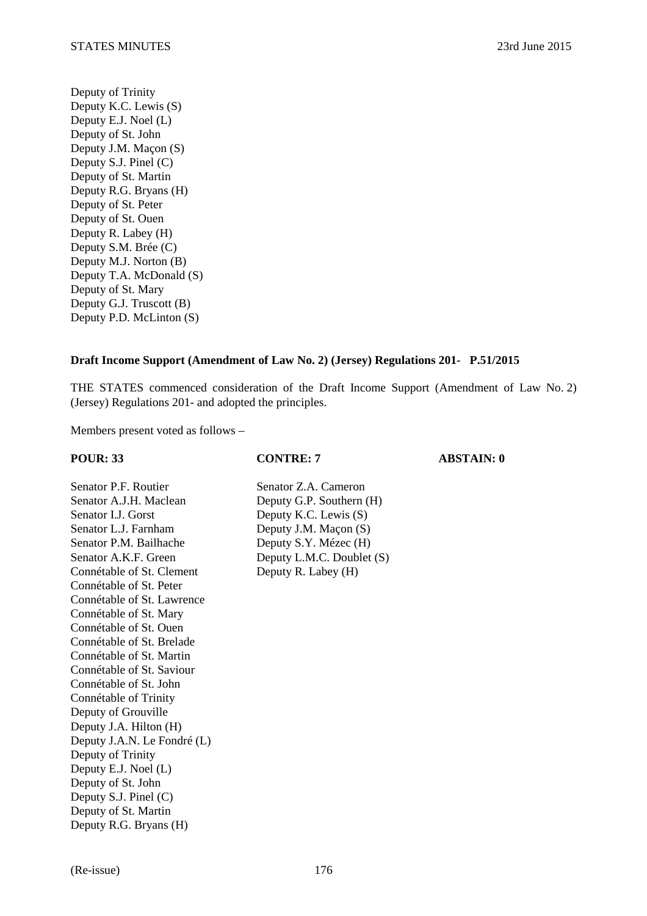Deputy of Trinity Deputy K.C. Lewis (S) Deputy E.J. Noel (L) Deputy of St. John Deputy J.M. Maçon (S) Deputy S.J. Pinel (C) Deputy of St. Martin Deputy R.G. Bryans (H) Deputy of St. Peter Deputy of St. Ouen Deputy R. Labey (H) Deputy S.M. Brée (C) Deputy M.J. Norton (B) Deputy T.A. McDonald (S) Deputy of St. Mary Deputy G.J. Truscott (B) Deputy P.D. McLinton (S)

### **Draft Income Support (Amendment of Law No. 2) (Jersey) Regulations 201- P.51/2015**

THE STATES commenced consideration of the Draft Income Support (Amendment of Law No. 2) (Jersey) Regulations 201- and adopted the principles.

Members present voted as follows –

Senator P.F. Routier Senator Z.A. Cameron Senator A.J.H. Maclean Deputy G.P. Southern (H) Senator I.J. Gorst Deputy K.C. Lewis (S) Senator L.J. Farnham Deputy J.M. Maçon (S) Senator P.M. Bailhache Deputy S.Y. Mézec (H) Senator A.K.F. Green Deputy L.M.C. Doublet (S) Connétable of St. Clement Deputy R. Labey (H) Connétable of St. Peter Connétable of St. Lawrence Connétable of St. Mary Connétable of St. Ouen Connétable of St. Brelade Connétable of St. Martin Connétable of St. Saviour Connétable of St. John Connétable of Trinity Deputy of Grouville Deputy J.A. Hilton (H) Deputy J.A.N. Le Fondré (L) Deputy of Trinity Deputy E.J. Noel (L) Deputy of St. John Deputy S.J. Pinel (C) Deputy of St. Martin Deputy R.G. Bryans (H)

**POUR: 33 CONTRE: 7 ABSTAIN: 0**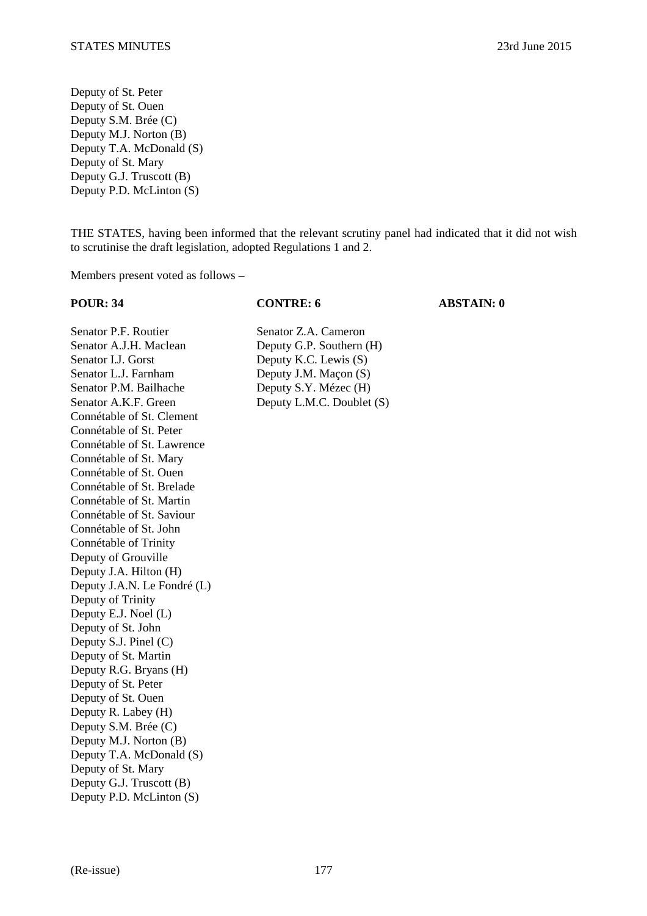Deputy of St. Peter Deputy of St. Ouen Deputy S.M. Brée (C) Deputy M.J. Norton (B) Deputy T.A. McDonald (S) Deputy of St. Mary Deputy G.J. Truscott (B) Deputy P.D. McLinton (S)

THE STATES, having been informed that the relevant scrutiny panel had indicated that it did not wish to scrutinise the draft legislation, adopted Regulations 1 and 2.

Members present voted as follows –

Senator P.F. Routier Senator Z.A. Cameron Senator A.J.H. Maclean Deputy G.P. Southern (H) Senator I.J. Gorst Deputy K.C. Lewis (S) Senator L.J. Farnham Deputy J.M. Maçon (S) Senator P.M. Bailhache Deputy S.Y. Mézec (H) Senator A.K.F. Green Deputy L.M.C. Doublet (S) Connétable of St. Clement Connétable of St. Peter Connétable of St. Lawrence Connétable of St. Mary Connétable of St. Ouen Connétable of St. Brelade Connétable of St. Martin Connétable of St. Saviour Connétable of St. John Connétable of Trinity Deputy of Grouville Deputy J.A. Hilton (H) Deputy J.A.N. Le Fondré (L) Deputy of Trinity Deputy E.J. Noel (L) Deputy of St. John Deputy S.J. Pinel (C) Deputy of St. Martin Deputy R.G. Bryans (H) Deputy of St. Peter Deputy of St. Ouen Deputy R. Labey (H) Deputy S.M. Brée (C) Deputy M.J. Norton (B) Deputy T.A. McDonald (S) Deputy of St. Mary Deputy G.J. Truscott (B) Deputy P.D. McLinton (S)

# **POUR: 34 CONTRE: 6 ABSTAIN: 0**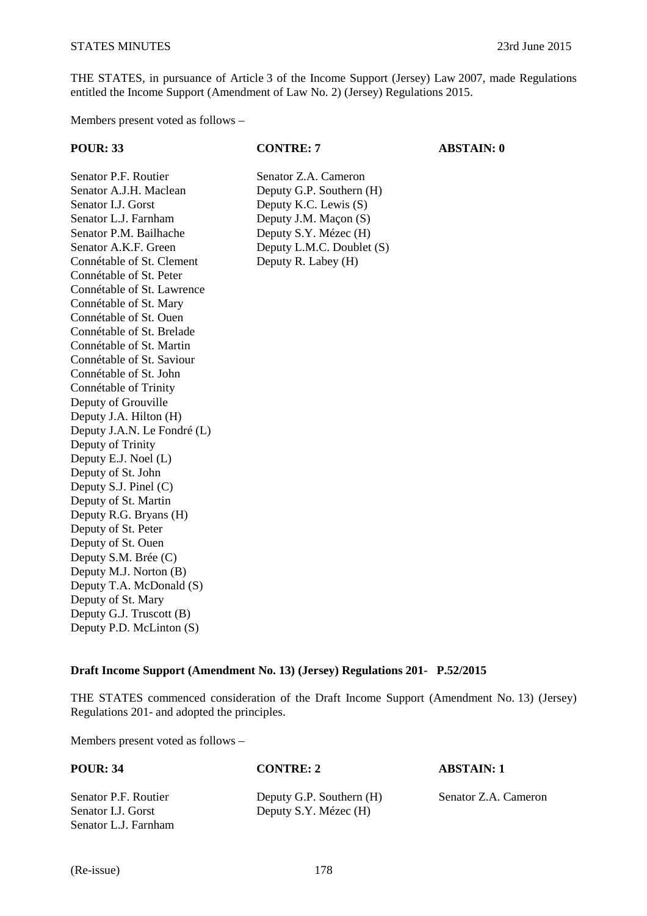THE STATES, in pursuance of Article 3 of the Income Support (Jersey) Law 2007, made Regulations entitled the Income Support (Amendment of Law No. 2) (Jersey) Regulations 2015.

Members present voted as follows –

**POUR: 33 CONTRE: 7 ABSTAIN: 0** 

Senator P.F. Routier Senator Z.A. Cameron Senator A.J.H. Maclean Deputy G.P. Southern (H) Senator I.J. Gorst Deputy K.C. Lewis (S) Senator L.J. Farnham Deputy J.M. Maçon (S) Senator P.M. Bailhache Deputy S.Y. Mézec (H) Senator A.K.F. Green Deputy L.M.C. Doublet (S) Connétable of St. Clement Deputy R. Labey (H) Connétable of St. Peter Connétable of St. Lawrence Connétable of St. Mary Connétable of St. Ouen Connétable of St. Brelade Connétable of St. Martin Connétable of St. Saviour Connétable of St. John Connétable of Trinity Deputy of Grouville Deputy J.A. Hilton (H) Deputy J.A.N. Le Fondré (L) Deputy of Trinity Deputy E.J. Noel (L) Deputy of St. John Deputy S.J. Pinel (C) Deputy of St. Martin Deputy R.G. Bryans (H) Deputy of St. Peter Deputy of St. Ouen Deputy S.M. Brée (C) Deputy M.J. Norton (B) Deputy T.A. McDonald (S) Deputy of St. Mary Deputy G.J. Truscott (B) Deputy P.D. McLinton (S)

# **Draft Income Support (Amendment No. 13) (Jersey) Regulations 201- P.52/2015**

THE STATES commenced consideration of the Draft Income Support (Amendment No. 13) (Jersey) Regulations 201- and adopted the principles.

| <b>POUR: 34</b>                            | <b>CONTRE: 2</b>                                  | <b>ABSTAIN: 1</b>    |
|--------------------------------------------|---------------------------------------------------|----------------------|
| Senator P.F. Routier<br>Senator I.J. Gorst | Deputy G.P. Southern (H)<br>Deputy S.Y. Mézec (H) | Senator Z.A. Cameron |
| Senator L. L. Farnham                      |                                                   |                      |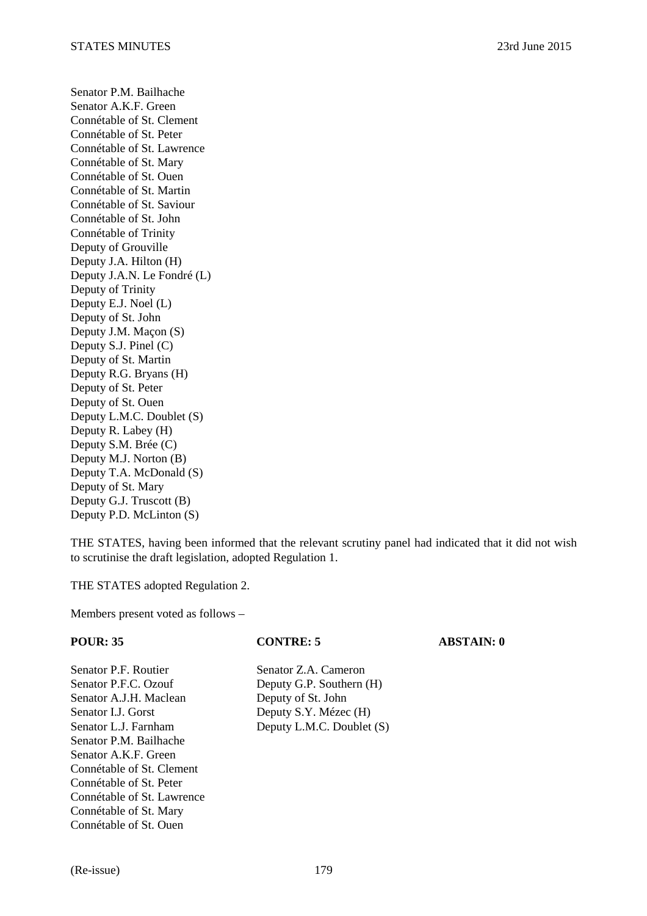Senator P.M. Bailhache Senator A.K.F. Green Connétable of St. Clement Connétable of St. Peter Connétable of St. Lawrence Connétable of St. Mary Connétable of St. Ouen Connétable of St. Martin Connétable of St. Saviour Connétable of St. John Connétable of Trinity Deputy of Grouville Deputy J.A. Hilton (H) Deputy J.A.N. Le Fondré (L) Deputy of Trinity Deputy E.J. Noel (L) Deputy of St. John Deputy J.M. Maçon (S) Deputy S.J. Pinel (C) Deputy of St. Martin Deputy R.G. Bryans (H) Deputy of St. Peter Deputy of St. Ouen Deputy L.M.C. Doublet (S) Deputy R. Labey (H) Deputy S.M. Brée (C) Deputy M.J. Norton (B) Deputy T.A. McDonald (S) Deputy of St. Mary Deputy G.J. Truscott (B) Deputy P.D. McLinton (S)

THE STATES, having been informed that the relevant scrutiny panel had indicated that it did not wish to scrutinise the draft legislation, adopted Regulation 1.

THE STATES adopted Regulation 2.

Members present voted as follows –

Senator P.F. Routier Senator Z.A. Cameron Senator P.F.C. Ozouf Deputy G.P. Southern (H) Senator A.J.H. Maclean Deputy of St. John Senator I.J. Gorst Deputy S.Y. Mézec (H) Senator P.M. Bailhache Senator A.K.F. Green Connétable of St. Clement Connétable of St. Peter Connétable of St. Lawrence Connétable of St. Mary Connétable of St. Ouen

# **POUR: 35 CONTRE: 5 ABSTAIN: 0**

Senator L.J. Farnham Deputy L.M.C. Doublet (S)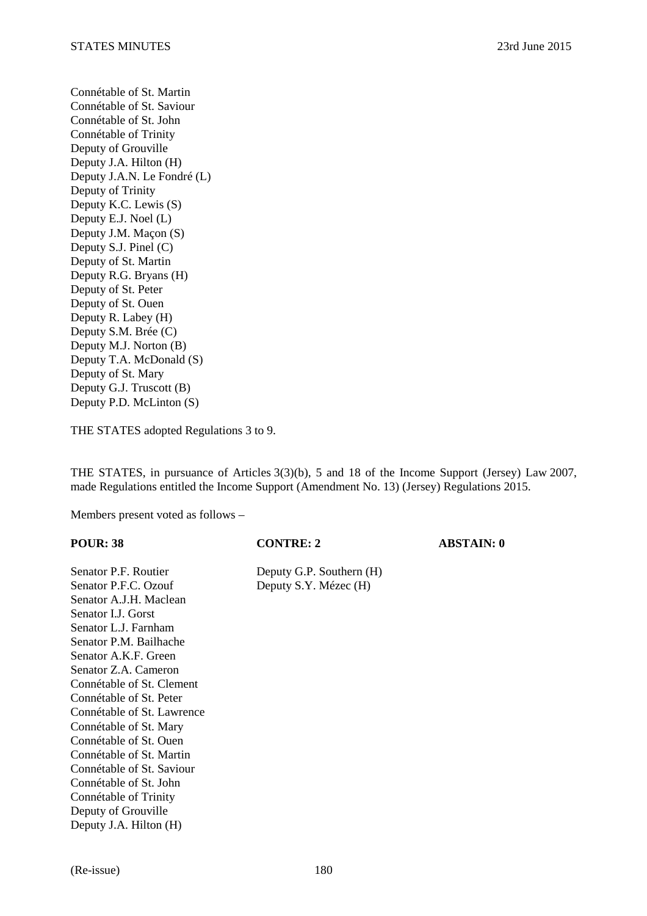Connétable of St. Martin Connétable of St. Saviour Connétable of St. John Connétable of Trinity Deputy of Grouville Deputy J.A. Hilton (H) Deputy J.A.N. Le Fondré (L) Deputy of Trinity Deputy K.C. Lewis (S) Deputy E.J. Noel (L) Deputy J.M. Maçon (S) Deputy S.J. Pinel (C) Deputy of St. Martin Deputy R.G. Bryans (H) Deputy of St. Peter Deputy of St. Ouen Deputy R. Labey (H) Deputy S.M. Brée (C) Deputy M.J. Norton (B) Deputy T.A. McDonald (S) Deputy of St. Mary Deputy G.J. Truscott (B) Deputy P.D. McLinton (S)

THE STATES adopted Regulations 3 to 9.

THE STATES, in pursuance of Articles 3(3)(b), 5 and 18 of the Income Support (Jersey) Law 2007, made Regulations entitled the Income Support (Amendment No. 13) (Jersey) Regulations 2015.

Members present voted as follows –

# **POUR: 38 CONTRE: 2** ABSTAIN: 0 Senator P.F. Routier Deputy G.P. Southern (H) Senator P.F.C. Ozouf Deputy S.Y. Mézec (H) Senator A.J.H. Maclean Senator I.J. Gorst Senator L.J. Farnham Senator P.M. Bailhache Senator A.K.F. Green Senator Z.A. Cameron Connétable of St. Clement Connétable of St. Peter Connétable of St. Lawrence Connétable of St. Mary Connétable of St. Ouen Connétable of St. Martin

Connétable of St. Saviour Connétable of St. John Connétable of Trinity Deputy of Grouville Deputy J.A. Hilton (H)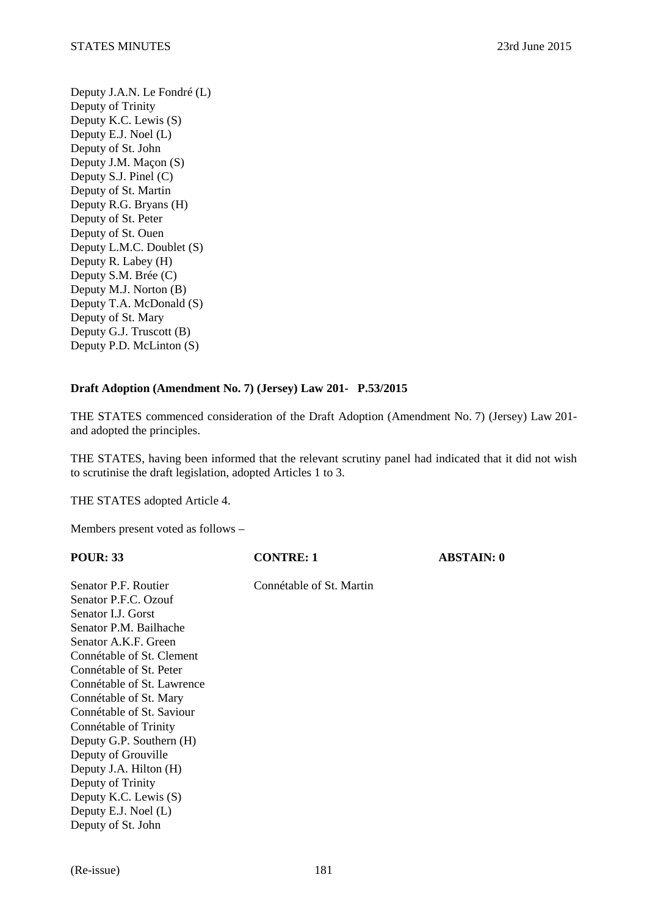Deputy J.A.N. Le Fondré (L) Deputy of Trinity Deputy K.C. Lewis (S) Deputy E.J. Noel (L) Deputy of St. John Deputy J.M. Maçon (S) Deputy S.J. Pinel (C) Deputy of St. Martin Deputy R.G. Bryans (H) Deputy of St. Peter Deputy of St. Ouen Deputy L.M.C. Doublet (S) Deputy R. Labey (H) Deputy S.M. Brée (C) Deputy M.J. Norton (B) Deputy T.A. McDonald (S) Deputy of St. Mary Deputy G.J. Truscott (B) Deputy P.D. McLinton (S)

### **Draft Adoption (Amendment No. 7) (Jersey) Law 201- P.53/2015**

THE STATES commenced consideration of the Draft Adoption (Amendment No. 7) (Jersey) Law 201 and adopted the principles.

THE STATES, having been informed that the relevant scrutiny panel had indicated that it did not wish to scrutinise the draft legislation, adopted Articles 1 to 3.

THE STATES adopted Article 4.

| <b>POUR: 33</b>            | <b>CONTRE: 1</b>         | <b>ABSTAIN: 0</b> |
|----------------------------|--------------------------|-------------------|
| Senator P.F. Routier       | Connétable of St. Martin |                   |
| Senator P.F.C. Ozouf       |                          |                   |
| Senator LJ. Gorst          |                          |                   |
| Senator P.M. Bailhache     |                          |                   |
| Senator A.K.F. Green       |                          |                   |
| Connétable of St. Clement  |                          |                   |
| Connétable of St. Peter    |                          |                   |
| Connétable of St. Lawrence |                          |                   |
| Connétable of St. Mary     |                          |                   |
| Connétable of St. Saviour  |                          |                   |
| Connétable of Trinity      |                          |                   |
| Deputy G.P. Southern (H)   |                          |                   |
| Deputy of Grouville        |                          |                   |
| Deputy J.A. Hilton (H)     |                          |                   |
| Deputy of Trinity          |                          |                   |
| Deputy K.C. Lewis (S)      |                          |                   |
| Deputy E.J. Noel (L)       |                          |                   |
| Deputy of St. John         |                          |                   |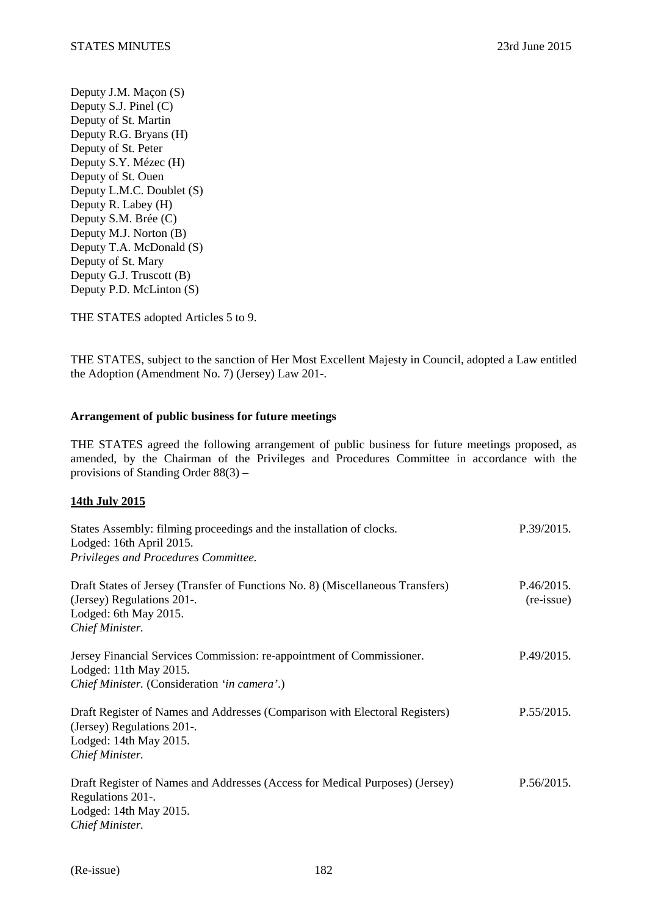Deputy J.M. Maçon (S) Deputy S.J. Pinel (C) Deputy of St. Martin Deputy R.G. Bryans (H) Deputy of St. Peter Deputy S.Y. Mézec (H) Deputy of St. Ouen Deputy L.M.C. Doublet (S) Deputy R. Labey (H) Deputy S.M. Brée (C) Deputy M.J. Norton (B) Deputy T.A. McDonald (S) Deputy of St. Mary Deputy G.J. Truscott (B) Deputy P.D. McLinton (S)

THE STATES adopted Articles 5 to 9.

THE STATES, subject to the sanction of Her Most Excellent Majesty in Council, adopted a Law entitled the Adoption (Amendment No. 7) (Jersey) Law 201-.

# **Arrangement of public business for future meetings**

THE STATES agreed the following arrangement of public business for future meetings proposed, as amended, by the Chairman of the Privileges and Procedures Committee in accordance with the provisions of Standing Order 88(3) –

# **14th July 2015**

| States Assembly: filming proceedings and the installation of clocks.<br>Lodged: 16th April 2015.<br>Privileges and Procedures Committee.               | P.39/2015.                        |
|--------------------------------------------------------------------------------------------------------------------------------------------------------|-----------------------------------|
| Draft States of Jersey (Transfer of Functions No. 8) (Miscellaneous Transfers)<br>(Jersey) Regulations 201-.<br>Lodged: 6th May 2015.                  | P.46/2015.<br>$(re\text{-}issue)$ |
| Chief Minister.                                                                                                                                        |                                   |
| Jersey Financial Services Commission: re-appointment of Commissioner.<br>Lodged: 11th May 2015.<br>Chief Minister. (Consideration 'in camera'.)        | P.49/2015.                        |
| Draft Register of Names and Addresses (Comparison with Electoral Registers)<br>(Jersey) Regulations 201-.<br>Lodged: 14th May 2015.<br>Chief Minister. | P.55/2015.                        |
| Draft Register of Names and Addresses (Access for Medical Purposes) (Jersey)<br>Regulations 201-.<br>Lodged: 14th May 2015.<br>Chief Minister.         | P.56/2015.                        |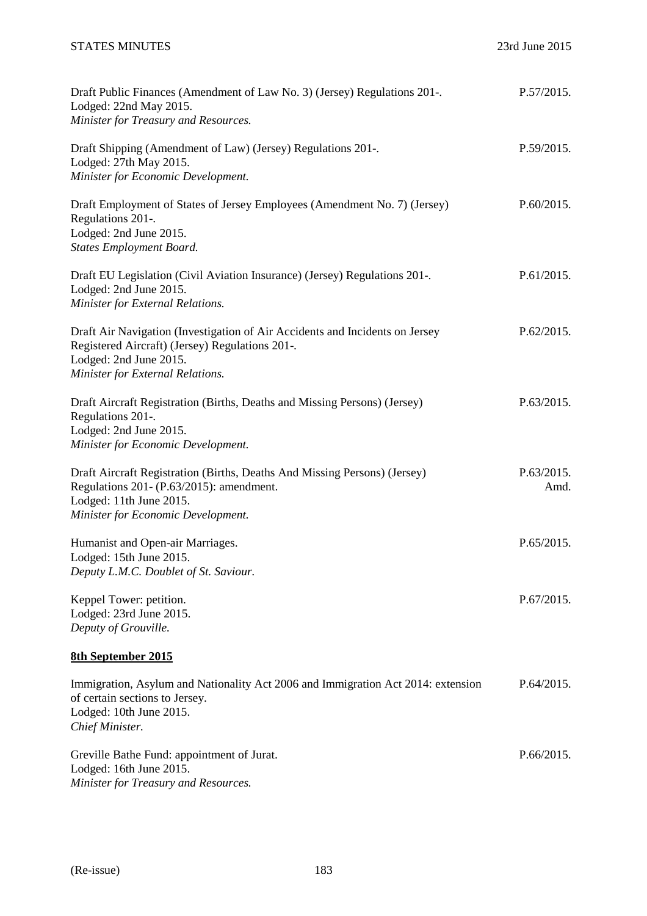# STATES MINUTES 23rd June 2015

| Draft Public Finances (Amendment of Law No. 3) (Jersey) Regulations 201-.<br>Lodged: 22nd May 2015.<br>Minister for Treasury and Resources.                                                   | P.57/2015.         |
|-----------------------------------------------------------------------------------------------------------------------------------------------------------------------------------------------|--------------------|
| Draft Shipping (Amendment of Law) (Jersey) Regulations 201-.<br>Lodged: 27th May 2015.<br>Minister for Economic Development.                                                                  | P.59/2015.         |
| Draft Employment of States of Jersey Employees (Amendment No. 7) (Jersey)<br>Regulations 201-.<br>Lodged: 2nd June 2015.<br><b>States Employment Board.</b>                                   | P.60/2015.         |
| Draft EU Legislation (Civil Aviation Insurance) (Jersey) Regulations 201-.<br>Lodged: 2nd June 2015.<br>Minister for External Relations.                                                      | P.61/2015.         |
| Draft Air Navigation (Investigation of Air Accidents and Incidents on Jersey<br>Registered Aircraft) (Jersey) Regulations 201-.<br>Lodged: 2nd June 2015.<br>Minister for External Relations. | P.62/2015.         |
| Draft Aircraft Registration (Births, Deaths and Missing Persons) (Jersey)<br>Regulations 201-.<br>Lodged: 2nd June 2015.<br>Minister for Economic Development.                                | P.63/2015.         |
| Draft Aircraft Registration (Births, Deaths And Missing Persons) (Jersey)<br>Regulations 201- (P.63/2015): amendment.<br>Lodged: 11th June 2015.<br>Minister for Economic Development.        | P.63/2015.<br>Amd. |
| Humanist and Open-air Marriages.<br>Lodged: 15th June 2015.<br>Deputy L.M.C. Doublet of St. Saviour.                                                                                          | P.65/2015.         |
| Keppel Tower: petition.<br>Lodged: 23rd June 2015.<br>Deputy of Grouville.                                                                                                                    | P.67/2015.         |
| <b>8th September 2015</b>                                                                                                                                                                     |                    |
| Immigration, Asylum and Nationality Act 2006 and Immigration Act 2014: extension<br>of certain sections to Jersey.<br>Lodged: 10th June 2015.<br>Chief Minister.                              | P.64/2015.         |
| Greville Bathe Fund: appointment of Jurat.<br>Lodged: 16th June 2015.<br>Minister for Treasury and Resources.                                                                                 | P.66/2015.         |